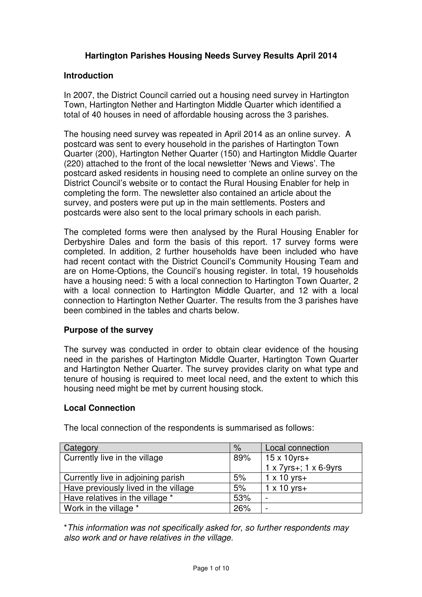# **Hartington Parishes Housing Needs Survey Results April 2014**

#### **Introduction**

 In 2007, the District Council carried out a housing need survey in Hartington Town, Hartington Nether and Hartington Middle Quarter which identified a total of 40 houses in need of affordable housing across the 3 parishes.

 The housing need survey was repeated in April 2014 as an online survey. A postcard was sent to every household in the parishes of Hartington Town Quarter (200), Hartington Nether Quarter (150) and Hartington Middle Quarter (220) attached to the front of the local newsletter 'News and Views'. The postcard asked residents in housing need to complete an online survey on the District Council's website or to contact the Rural Housing Enabler for help in completing the form. The newsletter also contained an article about the survey, and posters were put up in the main settlements. Posters and postcards were also sent to the local primary schools in each parish.

 The completed forms were then analysed by the Rural Housing Enabler for Derbyshire Dales and form the basis of this report. 17 survey forms were completed. In addition, 2 further households have been included who have had recent contact with the District Council's Community Housing Team and are on Home-Options, the Council's housing register. In total, 19 households have a housing need: 5 with a local connection to Hartington Town Quarter, 2 with a local connection to Hartington Middle Quarter, and 12 with a local connection to Hartington Nether Quarter. The results from the 3 parishes have been combined in the tables and charts below.

#### **Purpose of the survey**

 The survey was conducted in order to obtain clear evidence of the housing need in the parishes of Hartington Middle Quarter, Hartington Town Quarter and Hartington Nether Quarter. The survey provides clarity on what type and tenure of housing is required to meet local need, and the extent to which this housing need might be met by current housing stock.

# **Local Connection**

| Category                             | $\%$ | Local connection      |  |
|--------------------------------------|------|-----------------------|--|
| Currently live in the village<br>89% |      | $15 \times 10$ yrs+   |  |
|                                      |      | 1 x 7yrs+; 1 x 6-9yrs |  |
| Currently live in adjoining parish   | 5%   | $1 \times 10$ yrs+    |  |
| Have previously lived in the village | 5%   | $1 \times 10$ yrs+    |  |
| Have relatives in the village *      | 53%  |                       |  |
| Work in the village *                | 26%  |                       |  |

The local connection of the respondents is summarised as follows:

 \*This information was not specifically asked for, so further respondents may also work and or have relatives in the village.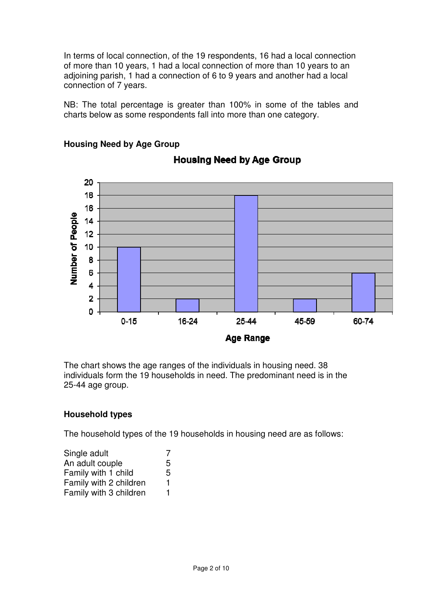In terms of local connection, of the 19 respondents, 16 had a local connection of more than 10 years, 1 had a local connection of more than 10 years to an adjoining parish, 1 had a connection of 6 to 9 years and another had a local connection of 7 years.

 NB: The total percentage is greater than 100% in some of the tables and charts below as some respondents fall into more than one category.



# **Housing Need by Age Group**

**Housing Need by Age Group** 

 The chart shows the age ranges of the individuals in housing need. 38 individuals form the 19 households in need. The predominant need is in the 25-44 age group.

## **Household types**

The household types of the 19 households in housing need are as follows:

| Single adult           |   |
|------------------------|---|
| An adult couple        | 5 |
| Family with 1 child    | 5 |
| Family with 2 children | 1 |
| Family with 3 children | 1 |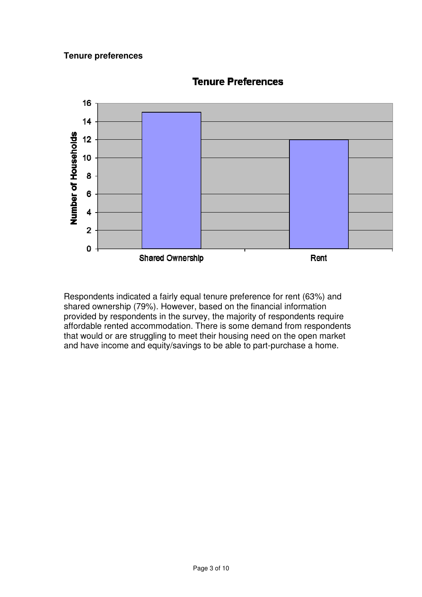## **Tenure preferences**



**Tenure Preferences** 

 Respondents indicated a fairly equal tenure preference for rent (63%) and shared ownership (79%). However, based on the financial information provided by respondents in the survey, the majority of respondents require affordable rented accommodation. There is some demand from respondents that would or are struggling to meet their housing need on the open market and have income and equity/savings to be able to part-purchase a home.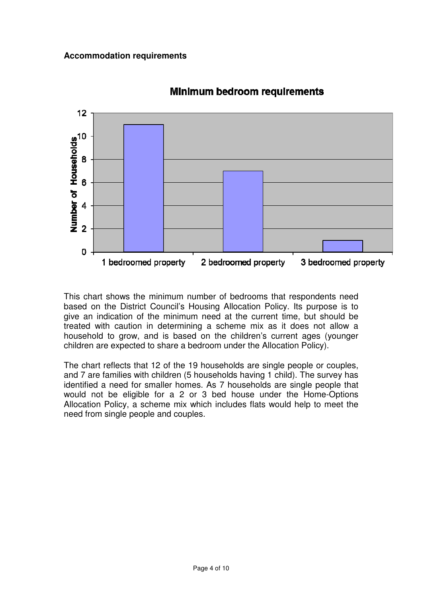

# **Minimum bedroom requirements**

This chart shows the minimum number of bedrooms that respondents need based on the District Council's Housing Allocation Policy. Its purpose is to give an indication of the minimum need at the current time, but should be treated with caution in determining a scheme mix as it does not allow a household to grow, and is based on the children's current ages (younger children are expected to share a bedroom under the Allocation Policy).

The chart reflects that 12 of the 19 households are single people or couples, and 7 are families with children (5 households having 1 child). The survey has identified a need for smaller homes. As 7 households are single people that would not be eligible for a 2 or 3 bed house under the Home-Options Allocation Policy, a scheme mix which includes flats would help to meet the need from single people and couples.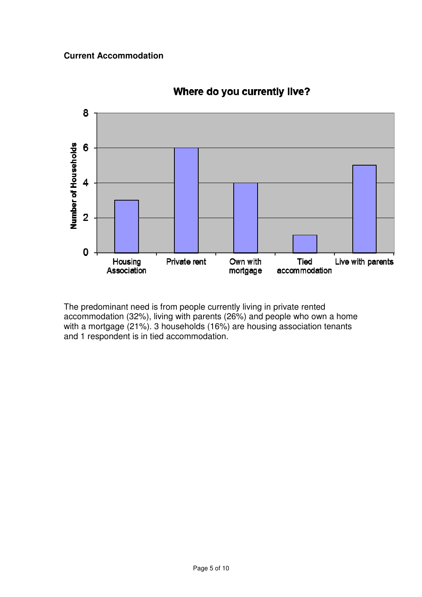## **Current Accommodation**



**Where do you currently live?** 

The predominant need is from people currently living in private rented accommodation (32%), living with parents (26%) and people who own a home with a mortgage (21%). 3 households (16%) are housing association tenants and 1 respondent is in tied accommodation.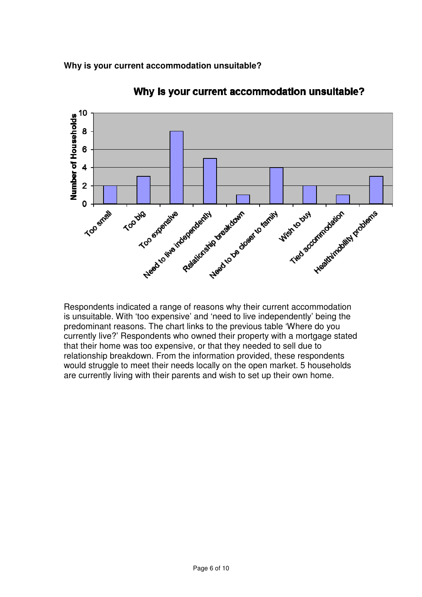**Why is your current accommodation unsuitable?** 



Why is your current accommodation unsuitable?

Respondents indicated a range of reasons why their current accommodation is unsuitable. With 'too expensive' and 'need to live independently' being the predominant reasons. The chart links to the previous table 'Where do you currently live?' Respondents who owned their property with a mortgage stated that their home was too expensive, or that they needed to sell due to relationship breakdown. From the information provided, these respondents would struggle to meet their needs locally on the open market. 5 households are currently living with their parents and wish to set up their own home.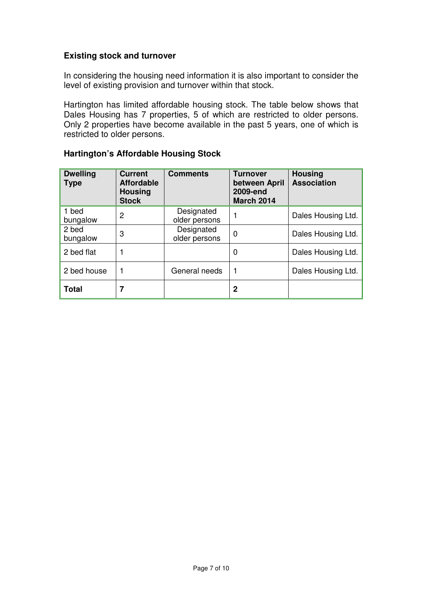#### **Existing stock and turnover**

 In considering the housing need information it is also important to consider the level of existing provision and turnover within that stock.

 Hartington has limited affordable housing stock. The table below shows that Dales Housing has 7 properties, 5 of which are restricted to older persons. Only 2 properties have become available in the past 5 years, one of which is restricted to older persons.

| <b>Dwelling</b><br><b>Type</b> | <b>Current</b><br><b>Affordable</b><br><b>Housing</b><br><b>Stock</b> | <b>Comments</b>             | <b>Turnover</b><br>between April<br>2009-end<br><b>March 2014</b> | <b>Housing</b><br><b>Association</b> |
|--------------------------------|-----------------------------------------------------------------------|-----------------------------|-------------------------------------------------------------------|--------------------------------------|
| 1 bed<br>bungalow              | 2                                                                     | Designated<br>older persons |                                                                   | Dales Housing Ltd.                   |
| 2 bed<br>bungalow              | 3                                                                     | Designated<br>older persons | 0                                                                 | Dales Housing Ltd.                   |
| 2 bed flat                     |                                                                       |                             | 0                                                                 | Dales Housing Ltd.                   |
| 2 bed house                    |                                                                       | General needs               |                                                                   | Dales Housing Ltd.                   |
| <b>Total</b>                   |                                                                       |                             | 2                                                                 |                                      |

#### **Hartington's Affordable Housing Stock**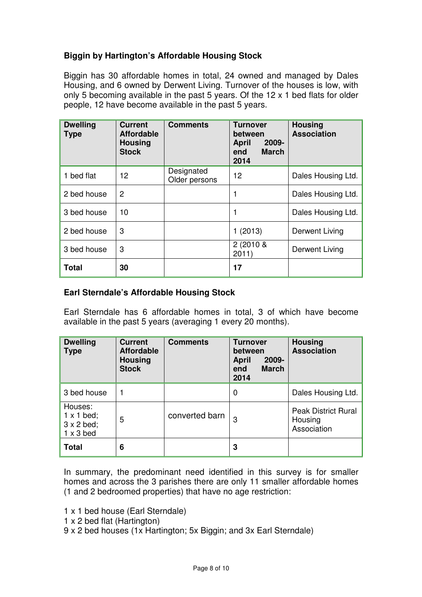# **Biggin by Hartington's Affordable Housing Stock**

 Biggin has 30 affordable homes in total, 24 owned and managed by Dales Housing, and 6 owned by Derwent Living. Turnover of the houses is low, with only 5 becoming available in the past 5 years. Of the 12 x 1 bed flats for older people, 12 have become available in the past 5 years.

| <b>Dwelling</b><br><b>Type</b> | <b>Current</b><br><b>Affordable</b><br><b>Housing</b><br><b>Stock</b> | <b>Comments</b>             | <b>Turnover</b><br>between<br>$2009 -$<br><b>April</b><br><b>March</b><br>end<br>2014 | <b>Housing</b><br><b>Association</b> |
|--------------------------------|-----------------------------------------------------------------------|-----------------------------|---------------------------------------------------------------------------------------|--------------------------------------|
| 1 bed flat                     | 12                                                                    | Designated<br>Older persons | 12                                                                                    | Dales Housing Ltd.                   |
| 2 bed house                    | 2                                                                     |                             |                                                                                       | Dales Housing Ltd.                   |
| 3 bed house                    | 10                                                                    |                             |                                                                                       | Dales Housing Ltd.                   |
| 2 bed house                    | 3                                                                     |                             | (2013)                                                                                | Derwent Living                       |
| 3 bed house                    | 3                                                                     |                             | $2(2010 \&$<br>2011)                                                                  | Derwent Living                       |
| <b>Total</b>                   | 30                                                                    |                             | 17                                                                                    |                                      |

## **Earl Sterndale's Affordable Housing Stock**

 Earl Sterndale has 6 affordable homes in total, 3 of which have become available in the past 5 years (averaging 1 every 20 months).

| <b>Dwelling</b><br><b>Type</b>                                        | <b>Current</b><br><b>Affordable</b><br><b>Housing</b><br><b>Stock</b> | <b>Comments</b> | <b>Turnover</b><br>between<br>2009-<br><b>April</b><br><b>March</b><br>end<br>2014 | <b>Housing</b><br><b>Association</b>                 |
|-----------------------------------------------------------------------|-----------------------------------------------------------------------|-----------------|------------------------------------------------------------------------------------|------------------------------------------------------|
| 3 bed house                                                           |                                                                       |                 | 0                                                                                  | Dales Housing Ltd.                                   |
| Houses:<br>$1 \times 1$ bed;<br>$3 \times 2$ bed;<br>$1 \times 3$ bed | 5                                                                     | converted barn  | 3                                                                                  | <b>Peak District Rural</b><br>Housing<br>Association |
| <b>Total</b>                                                          | 6                                                                     |                 | 3                                                                                  |                                                      |

 In summary, the predominant need identified in this survey is for smaller homes and across the 3 parishes there are only 11 smaller affordable homes (1 and 2 bedroomed properties) that have no age restriction:

1 x 1 bed house (Earl Sterndale)

- 1 x 2 bed flat (Hartington)
- 9 x 2 bed houses (1x Hartington; 5x Biggin; and 3x Earl Sterndale)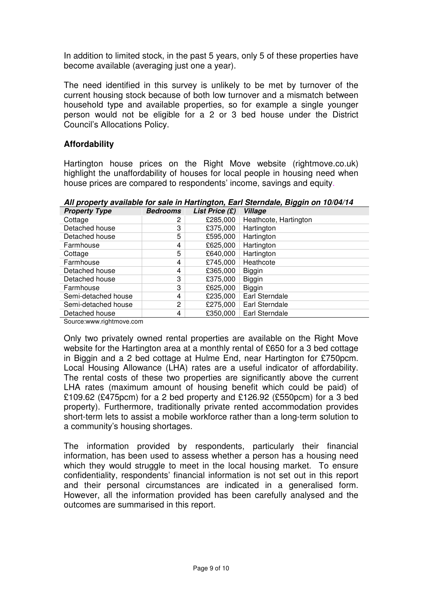In addition to limited stock, in the past 5 years, only 5 of these properties have become available (averaging just one a year).

 The need identified in this survey is unlikely to be met by turnover of the current housing stock because of both low turnover and a mismatch between household type and available properties, so for example a single younger person would not be eligible for a 2 or 3 bed house under the District Council's Allocations Policy.

## **Affordability**

 Hartington house prices on the Right Move website ([rightmove.co.uk](https://rightmove.co.uk)) highlight the unaffordability of houses for local people in housing need when house prices are compared to respondents' income, savings and equity.

 **All property available for sale in Hartington, Earl Sterndale, Biggin on 10/04/14** 

| <b>Property Type</b> | <b>Bedrooms</b> | List Price (£) | Village               |
|----------------------|-----------------|----------------|-----------------------|
| Cottage              | 2               | £285,000       | Heathcote, Hartington |
| Detached house       | 3               | £375,000       | Hartington            |
| Detached house       | 5               | £595,000       | Hartington            |
| Farmhouse            | 4               | £625,000       | Hartington            |
| Cottage              | 5               | £640,000       | Hartington            |
| Farmhouse            | 4               | £745,000       | Heathcote             |
| Detached house       | 4               | £365,000       | <b>Biggin</b>         |
| Detached house       | 3               | £375,000       | <b>Biggin</b>         |
| Farmhouse            | 3               | £625,000       | <b>Biggin</b>         |
| Semi-detached house  | 4               | £235,000       | Earl Sterndale        |
| Semi-detached house  | 2               | £275,000       | Earl Sterndale        |
| Detached house       | 4               | £350,000       | Earl Sterndale        |

[Source:www.rightmove.com](https://Source:www.rightmove.com)

 Only two privately owned rental properties are available on the Right Move website for the Hartington area at a monthly rental of £650 for a 3 bed cottage in Biggin and a 2 bed cottage at Hulme End, near Hartington for £750pcm. Local Housing Allowance (LHA) rates are a useful indicator of affordability. The rental costs of these two properties are significantly above the current LHA rates (maximum amount of housing benefit which could be paid) of £109.62 (£475pcm) for a 2 bed property and £126.92 (£550pcm) for a 3 bed property). Furthermore, traditionally private rented accommodation provides short-term lets to assist a mobile workforce rather than a long-term solution to a community's housing shortages.

 The information provided by respondents, particularly their financial information, has been used to assess whether a person has a housing need which they would struggle to meet in the local housing market. To ensure confidentiality, respondents' financial information is not set out in this report and their personal circumstances are indicated in a generalised form. However, all the information provided has been carefully analysed and the outcomes are summarised in this report.